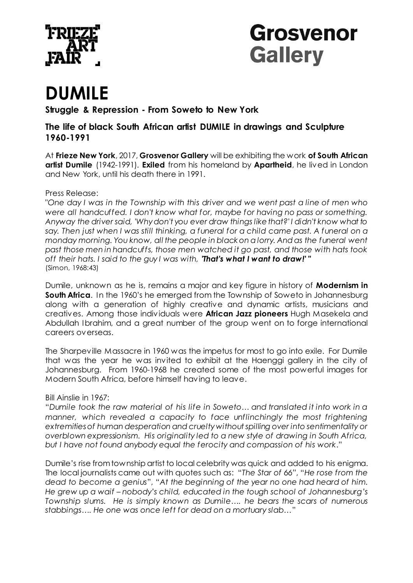



# **DUMILE**

**Struggle & Repression - From Soweto to New York**

**The life of black South African artist DUMILE in drawings and Sculpture 1960-1991**

At **Frieze New York**, 2017, **Grosvenor Gallery** will be exhibiting the work **of South African artist Dumile** (1942-1991). **Exiled** from his homeland by **Apartheid**, he lived in London and New York, until his death there in 1991.

### Press Release:

"*One day I was in the Township with this driver and we went past a line of men who were all handcuffed. I don't know what for, maybe for having no pass or something. Anyway the driver said, 'Why don't you ever draw things like that?' I didn't know what to*  say. Then just when I was still thinking, a funeral for a child came past. A funeral on a *monday morning. You know, all the people in black on a lorry. And as the funeral went past those men in handcuffs, those men watched it go past, and those with hats took off their hats. I said to the guy I was with, 'That's what I want to draw!' "*  (Simon, 1968:43)

Dumile, unknown as he is, remains a major and key figure in history of **Modernism in South Africa**. In the 1960's he emerged from the Township of Soweto in Johannesburg along with a generation of highly creative and dynamic artists, musicians and creatives. Among those individuals were **African Jazz pioneers** Hugh Masekela and Abdullah Ibrahim, and a great number of the group went on to forge international careers overseas.

The Sharpeville Massacre in 1960 was the impetus for most to go into exile. For Dumile that was the year he was invited to exhibit at the Haenggi gallery in the city of Johannesburg. From 1960-1968 he created some of the most powerful images for Modern South Africa, before himself having to leave.

### Bill Ainslie in 1967:

"*Dumile took the raw material of his life in Soweto… and translated it into work in a manner, which revealed a capacity to face unflinchingly the most frightening extremities of human desperation and cruelty without spilling over into sentimentality or overblown expressionism. His originality led to a new style of drawing in South Africa, but I have not found anybody equal the ferocity and compassion of his work*."

Dumile's rise from township artist to local celebrity was quick and added to his enigma. The local journalists came out with quotes such as: "*The Star of 66*", "*He rose from the dead to become a genius*", "*At the beginning of the year no one had heard of him. He grew up a waif – nobody's child, educated in the tough school of Johannesburg's Township slums. He is simply known as Dumile…. he bears the scars of numerous stabbings…. He one was once left for dead on a mortuary slab…*"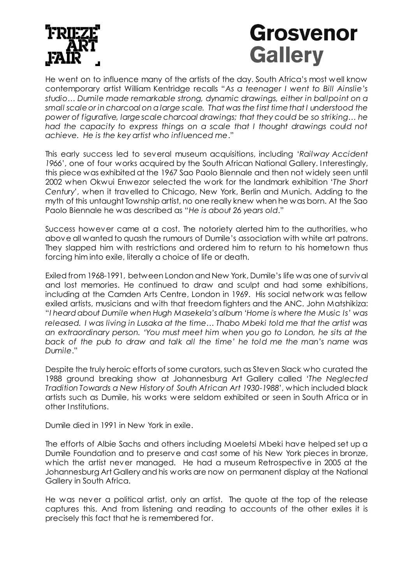

# **Grosvenor Gallery**

He went on to influence many of the artists of the day. South Africa's most well know contemporary artist William Kentridge recalls "*As a teenager I went to Bill Ainslie's studio… Dumile made remarkable strong, dynamic drawings, either in ballpoint on a small scale or in charcoal on a large scale. That was the first time that I understood the power of figurative, large scale charcoal drawings; that they could be so striking… he had the capacity to express things on a scale that I thought drawings could not achieve. He is the key artist who influenced me*."

This early success led to several museum acquisitions, including '*Railway Accident 1966*', one of four works acquired by the South African National Gallery. Interestingly, this piece was exhibited at the 1967 Sao Paolo Biennale and then not widely seen until 2002 when Okwui Enwezor selected the work for the landmark exhibition '*The Short Century*', when it travelled to Chicago, New York, Berlin and Munich. Adding to the myth of this untaught Township artist, no one really knew when he was born. At the Sao Paolo Biennale he was described as "*He is about 26 years old*."

Success however came at a cost. The notoriety alerted him to the authorities, who above all wanted to quash the rumours of Dumile's association with white art patrons. They slapped him with restrictions and ordered him to return to his hometown thus forcing him into exile, literally a choice of life or death.

Exiled from 1968-1991, between London and New York, Dumile's life was one of survival and lost memories. He continued to draw and sculpt and had some exhibitions, including at the Camden Arts Centre, London in 1969. His social network was fellow exiled artists, musicians and with that freedom fighters and the ANC. John Matshikiza: "*I heard about Dumile when Hugh Masekela's album 'Home is where the Music Is' was released. I was living in Lusaka at the time… Thabo Mbeki told me that the artist was an extraordinary person. 'You must meet him when you go to London, he sits at the back of the pub to draw and talk all the time' he told me the man's name was Dumile*."

Despite the truly heroic efforts of some curators, such as Steven Slack who curated the 1988 ground breaking show at Johannesburg Art Gallery called '*The Neglected Tradition Towards a New History of South African Art 1930-1988*', which included black artists such as Dumile, his works were seldom exhibited or seen in South Africa or in other Institutions.

Dumile died in 1991 in New York in exile.

The efforts of Albie Sachs and others including Moeletsi Mbeki have helped set up a Dumile Foundation and to preserve and cast some of his New York pieces in bronze, which the artist never managed. He had a museum Retrospective in 2005 at the Johannesburg Art Gallery and his works are now on permanent display at the National Gallery in South Africa.

He was never a political artist, only an artist. The quote at the top of the release captures this. And from listening and reading to accounts of the other exiles it is precisely this fact that he is remembered for.